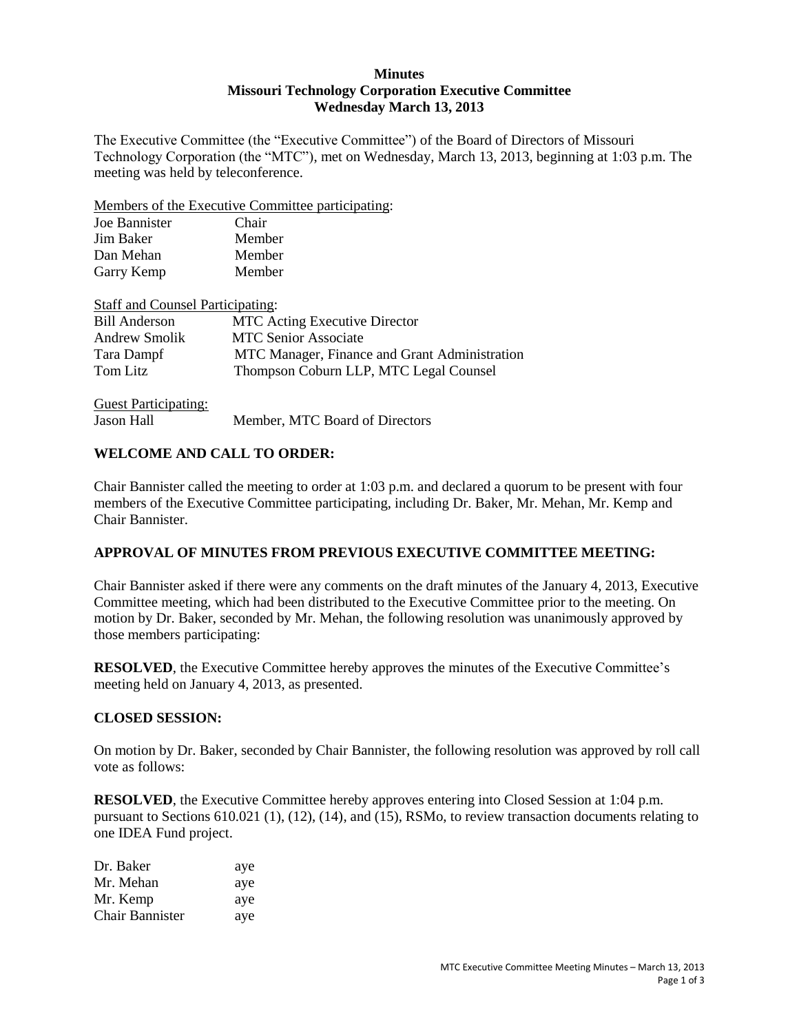#### **Minutes Missouri Technology Corporation Executive Committee Wednesday March 13, 2013**

The Executive Committee (the "Executive Committee") of the Board of Directors of Missouri Technology Corporation (the "MTC"), met on Wednesday, March 13, 2013, beginning at 1:03 p.m. The meeting was held by teleconference.

Members of the Executive Committee participating:

| Joe Bannister                           | Chair                                         |
|-----------------------------------------|-----------------------------------------------|
| Jim Baker                               | Member                                        |
| Dan Mehan                               | Member                                        |
| Garry Kemp                              | Member                                        |
| <b>Staff and Counsel Participating:</b> |                                               |
| <b>Bill Anderson</b>                    | <b>MTC</b> Acting Executive Director          |
| <b>Andrew Smolik</b>                    | <b>MTC Senior Associate</b>                   |
| Tara Dampf                              | MTC Manager, Finance and Grant Administration |
| Tom Litz                                | Thompson Coburn LLP, MTC Legal Counsel        |
|                                         |                                               |

| <b>Guest Participating:</b> |                                |
|-----------------------------|--------------------------------|
| <b>Jason Hall</b>           | Member, MTC Board of Directors |

### **WELCOME AND CALL TO ORDER:**

Chair Bannister called the meeting to order at 1:03 p.m. and declared a quorum to be present with four members of the Executive Committee participating, including Dr. Baker, Mr. Mehan, Mr. Kemp and Chair Bannister.

## **APPROVAL OF MINUTES FROM PREVIOUS EXECUTIVE COMMITTEE MEETING:**

Chair Bannister asked if there were any comments on the draft minutes of the January 4, 2013, Executive Committee meeting, which had been distributed to the Executive Committee prior to the meeting. On motion by Dr. Baker, seconded by Mr. Mehan, the following resolution was unanimously approved by those members participating:

**RESOLVED**, the Executive Committee hereby approves the minutes of the Executive Committee's meeting held on January 4, 2013, as presented.

#### **CLOSED SESSION:**

On motion by Dr. Baker, seconded by Chair Bannister, the following resolution was approved by roll call vote as follows:

**RESOLVED**, the Executive Committee hereby approves entering into Closed Session at 1:04 p.m. pursuant to Sections 610.021 (1), (12), (14), and (15), RSMo, to review transaction documents relating to one IDEA Fund project.

| Dr. Baker       | aye |
|-----------------|-----|
| Mr. Mehan       | aye |
| Mr. Kemp        | aye |
| Chair Bannister | aye |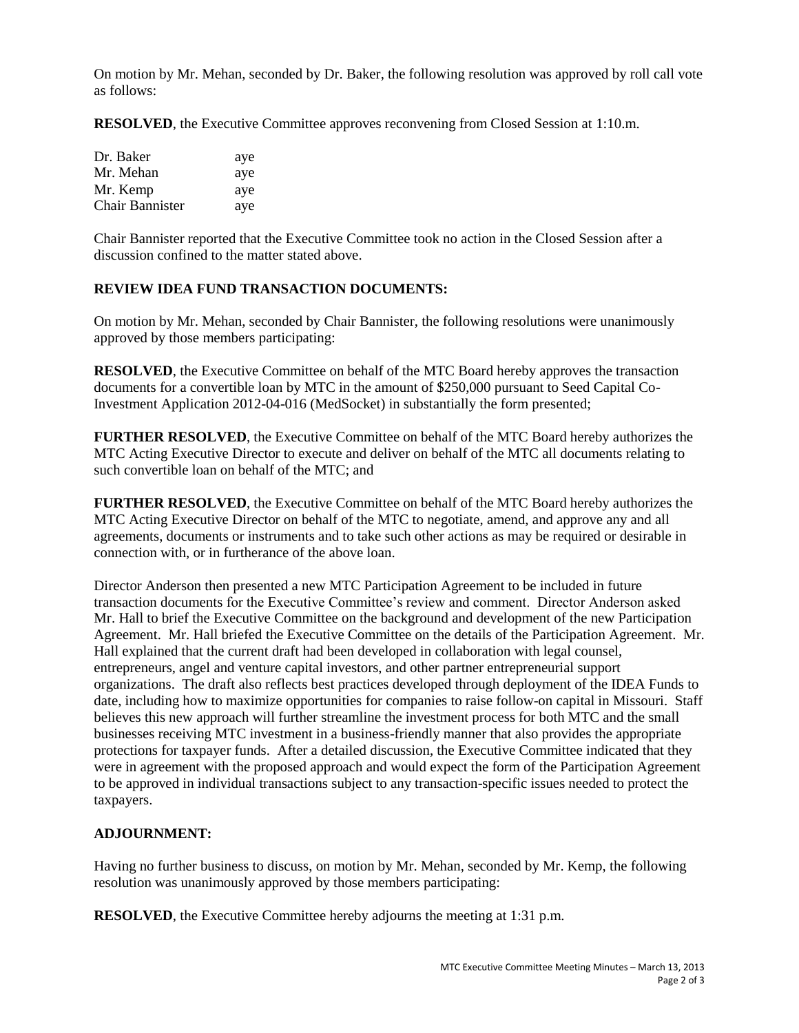On motion by Mr. Mehan, seconded by Dr. Baker, the following resolution was approved by roll call vote as follows:

**RESOLVED**, the Executive Committee approves reconvening from Closed Session at 1:10.m.

| Dr. Baker              | aye |
|------------------------|-----|
| Mr. Mehan              | aye |
| Mr. Kemp               | aye |
| <b>Chair Bannister</b> | aye |

Chair Bannister reported that the Executive Committee took no action in the Closed Session after a discussion confined to the matter stated above.

#### **REVIEW IDEA FUND TRANSACTION DOCUMENTS:**

On motion by Mr. Mehan, seconded by Chair Bannister, the following resolutions were unanimously approved by those members participating:

**RESOLVED**, the Executive Committee on behalf of the MTC Board hereby approves the transaction documents for a convertible loan by MTC in the amount of \$250,000 pursuant to Seed Capital Co-Investment Application 2012-04-016 (MedSocket) in substantially the form presented;

**FURTHER RESOLVED**, the Executive Committee on behalf of the MTC Board hereby authorizes the MTC Acting Executive Director to execute and deliver on behalf of the MTC all documents relating to such convertible loan on behalf of the MTC; and

**FURTHER RESOLVED**, the Executive Committee on behalf of the MTC Board hereby authorizes the MTC Acting Executive Director on behalf of the MTC to negotiate, amend, and approve any and all agreements, documents or instruments and to take such other actions as may be required or desirable in connection with, or in furtherance of the above loan.

Director Anderson then presented a new MTC Participation Agreement to be included in future transaction documents for the Executive Committee's review and comment. Director Anderson asked Mr. Hall to brief the Executive Committee on the background and development of the new Participation Agreement. Mr. Hall briefed the Executive Committee on the details of the Participation Agreement. Mr. Hall explained that the current draft had been developed in collaboration with legal counsel, entrepreneurs, angel and venture capital investors, and other partner entrepreneurial support organizations. The draft also reflects best practices developed through deployment of the IDEA Funds to date, including how to maximize opportunities for companies to raise follow-on capital in Missouri. Staff believes this new approach will further streamline the investment process for both MTC and the small businesses receiving MTC investment in a business-friendly manner that also provides the appropriate protections for taxpayer funds. After a detailed discussion, the Executive Committee indicated that they were in agreement with the proposed approach and would expect the form of the Participation Agreement to be approved in individual transactions subject to any transaction-specific issues needed to protect the taxpayers.

#### **ADJOURNMENT:**

Having no further business to discuss, on motion by Mr. Mehan, seconded by Mr. Kemp, the following resolution was unanimously approved by those members participating:

**RESOLVED**, the Executive Committee hereby adjourns the meeting at 1:31 p.m.